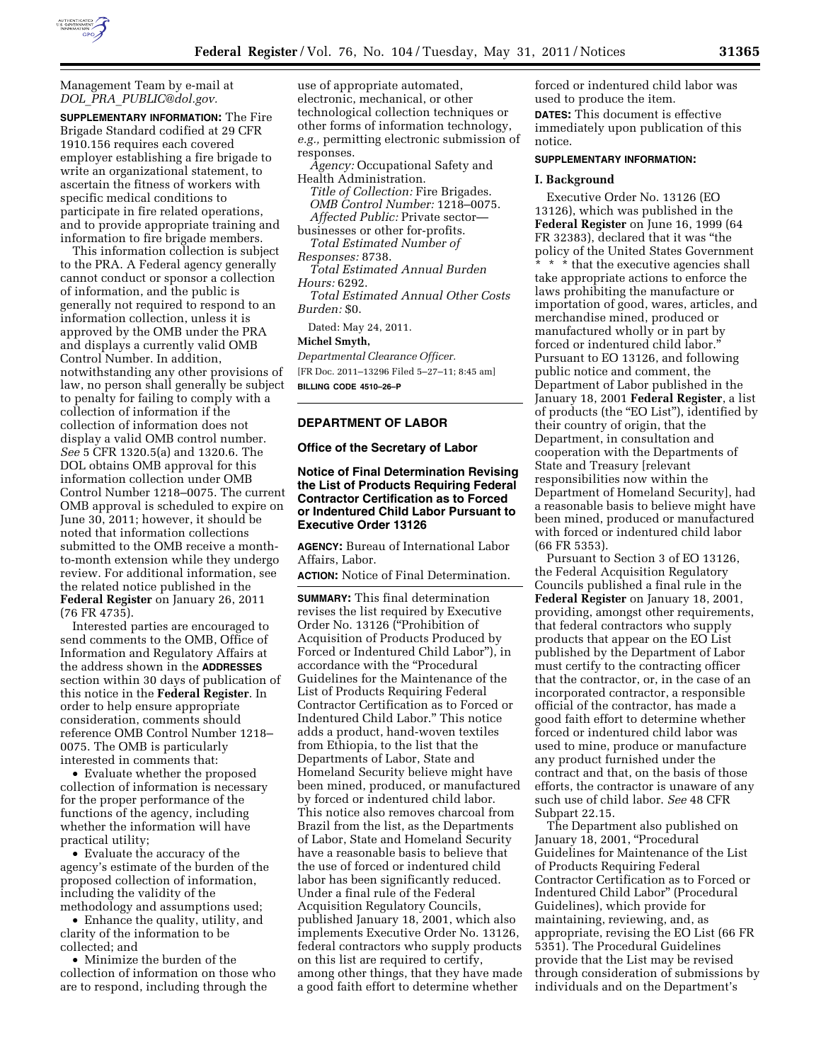

#### Management Team by e-mail at *DOL*\_*PRA*\_*[PUBLIC@dol.gov.](mailto:DOL_PRA_PUBLIC@dol.gov)*

**SUPPLEMENTARY INFORMATION:** The Fire Brigade Standard codified at 29 CFR 1910.156 requires each covered employer establishing a fire brigade to write an organizational statement, to ascertain the fitness of workers with specific medical conditions to participate in fire related operations, and to provide appropriate training and information to fire brigade members.

This information collection is subject to the PRA. A Federal agency generally cannot conduct or sponsor a collection of information, and the public is generally not required to respond to an information collection, unless it is approved by the OMB under the PRA and displays a currently valid OMB Control Number. In addition, notwithstanding any other provisions of law, no person shall generally be subject to penalty for failing to comply with a collection of information if the collection of information does not display a valid OMB control number. *See* 5 CFR 1320.5(a) and 1320.6. The DOL obtains OMB approval for this information collection under OMB Control Number 1218–0075. The current OMB approval is scheduled to expire on June 30, 2011; however, it should be noted that information collections submitted to the OMB receive a monthto-month extension while they undergo review. For additional information, see the related notice published in the **Federal Register** on January 26, 2011 (76 FR 4735).

Interested parties are encouraged to send comments to the OMB, Office of Information and Regulatory Affairs at the address shown in the **ADDRESSES** section within 30 days of publication of this notice in the **Federal Register**. In order to help ensure appropriate consideration, comments should reference OMB Control Number 1218– 0075. The OMB is particularly interested in comments that:

• Evaluate whether the proposed collection of information is necessary for the proper performance of the functions of the agency, including whether the information will have practical utility;

• Evaluate the accuracy of the agency's estimate of the burden of the proposed collection of information, including the validity of the methodology and assumptions used;

• Enhance the quality, utility, and clarity of the information to be collected; and

• Minimize the burden of the collection of information on those who are to respond, including through the

use of appropriate automated, electronic, mechanical, or other technological collection techniques or other forms of information technology, *e.g.,* permitting electronic submission of responses.

*Agency:* Occupational Safety and Health Administration.

*Title of Collection:* Fire Brigades. *OMB Control Number:* 1218–0075. *Affected Public:* Private sector—

businesses or other for-profits. *Total Estimated Number of* 

*Responses:* 8738.

*Total Estimated Annual Burden Hours:* 6292.

*Total Estimated Annual Other Costs Burden:* \$0.

Dated: May 24, 2011.

#### **Michel Smyth,**

*Departmental Clearance Officer.*  [FR Doc. 2011–13296 Filed 5–27–11; 8:45 am] **BILLING CODE 4510–26–P** 

#### **DEPARTMENT OF LABOR**

**Office of the Secretary of Labor** 

### **Notice of Final Determination Revising the List of Products Requiring Federal Contractor Certification as to Forced or Indentured Child Labor Pursuant to Executive Order 13126**

**AGENCY:** Bureau of International Labor Affairs, Labor.

**ACTION:** Notice of Final Determination.

**SUMMARY:** This final determination revises the list required by Executive Order No. 13126 (''Prohibition of Acquisition of Products Produced by Forced or Indentured Child Labor''), in accordance with the "Procedural Guidelines for the Maintenance of the List of Products Requiring Federal Contractor Certification as to Forced or Indentured Child Labor.'' This notice adds a product, hand-woven textiles from Ethiopia, to the list that the Departments of Labor, State and Homeland Security believe might have been mined, produced, or manufactured by forced or indentured child labor. This notice also removes charcoal from Brazil from the list, as the Departments of Labor, State and Homeland Security have a reasonable basis to believe that the use of forced or indentured child labor has been significantly reduced. Under a final rule of the Federal Acquisition Regulatory Councils, published January 18, 2001, which also implements Executive Order No. 13126, federal contractors who supply products on this list are required to certify, among other things, that they have made a good faith effort to determine whether

forced or indentured child labor was used to produce the item. **DATES:** This document is effective immediately upon publication of this notice.

#### **SUPPLEMENTARY INFORMATION:**

#### **I. Background**

Executive Order No. 13126 (EO 13126), which was published in the **Federal Register** on June 16, 1999 (64 FR 32383), declared that it was ''the policy of the United States Government

\* \* \* that the executive agencies shall take appropriate actions to enforce the laws prohibiting the manufacture or importation of good, wares, articles, and merchandise mined, produced or manufactured wholly or in part by forced or indentured child labor.'' Pursuant to EO 13126, and following public notice and comment, the Department of Labor published in the January 18, 2001 **Federal Register**, a list of products (the ''EO List''), identified by their country of origin, that the Department, in consultation and cooperation with the Departments of State and Treasury [relevant responsibilities now within the Department of Homeland Security], had a reasonable basis to believe might have been mined, produced or manufactured with forced or indentured child labor (66 FR 5353).

Pursuant to Section 3 of EO 13126, the Federal Acquisition Regulatory Councils published a final rule in the **Federal Register** on January 18, 2001, providing, amongst other requirements, that federal contractors who supply products that appear on the EO List published by the Department of Labor must certify to the contracting officer that the contractor, or, in the case of an incorporated contractor, a responsible official of the contractor, has made a good faith effort to determine whether forced or indentured child labor was used to mine, produce or manufacture any product furnished under the contract and that, on the basis of those efforts, the contractor is unaware of any such use of child labor. *See* 48 CFR Subpart 22.15.

The Department also published on January 18, 2001, "Procedural Guidelines for Maintenance of the List of Products Requiring Federal Contractor Certification as to Forced or Indentured Child Labor'' (Procedural Guidelines), which provide for maintaining, reviewing, and, as appropriate, revising the EO List (66 FR 5351). The Procedural Guidelines provide that the List may be revised through consideration of submissions by individuals and on the Department's